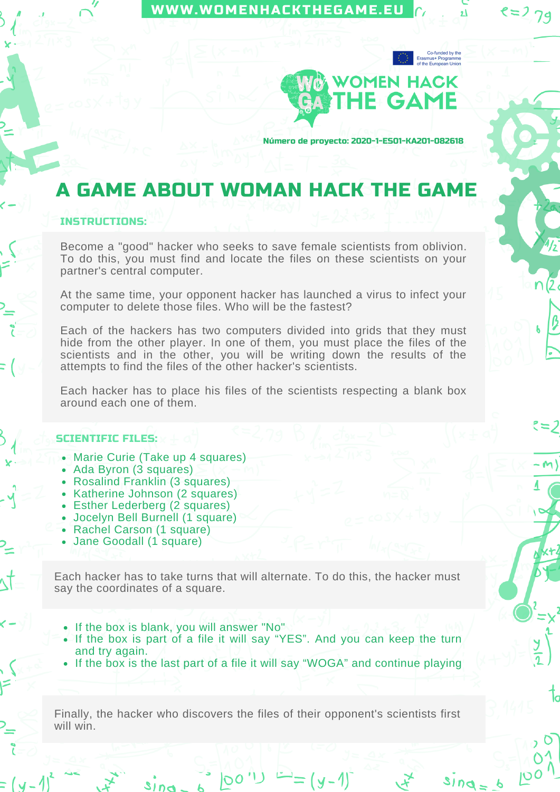## [WWW.WOMENHACKTHEGAME.EU](https://womenhackthegame.eu/)



 $8 = 279$ 

 $=2$ 

Número de proyecto: 2020-1-ES01-KA201-082618

## A GAME ABOUT WOMAN HACK THE GAME

## INSTRUCTIONS:

Become a "good" hacker who seeks to save female scientists from oblivion. To do this, you must find and locate the files on these scientists on your partner's central computer.

At the same time, your opponent hacker has launched a virus to infect your computer to delete those files. Who will be the fastest?

Each of the hackers has two computers divided into grids that they must hide from the other player. In one of them, you must place the files of the scientists and in the other, you will be writing down the results of the attempts to find the files of the other hacker's scientists.

Each hacker has to place his files of the scientists respecting a blank box around each one of them.

## SCIENTIFIC FILES:

- Marie Curie (Take up 4 squares)
- Ada Byron (3 squares)
- Rosalind Franklin (3 squares)
- Katherine Johnson (2 squares)
- Esther Lederberg (2 squares)
- Jocelyn Bell Burnell (1 square)
- Rachel Carson (1 square)
- Jane Goodall (1 square)

Each hacker has to take turns that will alternate. To do this, the hacker must say the coordinates of a square.

- If the box is blank, you will answer "No"
- If the box is part of a file it will say "YES". And you can keep the turn and try again.
- If the box is the last part of a file it will say "WOGA" and continue playing

Finally, the hacker who discovers the files of their opponent's scientists first will win.

<sup>→</sup>== (y - 1)¯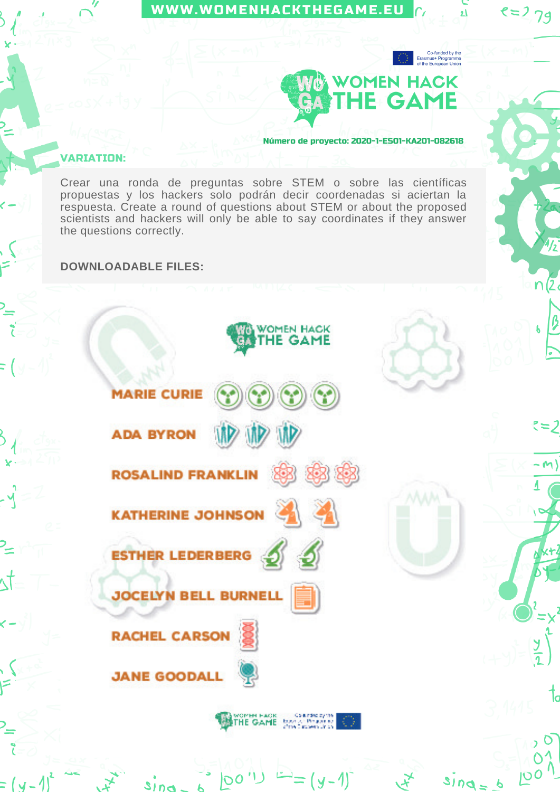

=2

 $100$ 

 $310q = 6$ 

**WOMEN HACK** THE GAME **MARIE CURIE ADA BYRON ROSALIND FRANKLIN KATHERINE JOHNSON ESTHER LEDERBERG JOCELYN BELL BURNELL RACHEL CARSON JANE GOODALL** Momen Hack Coalidating<br>THE GAME Don't Dollars<br>City Crown of a

 $(y-1)$